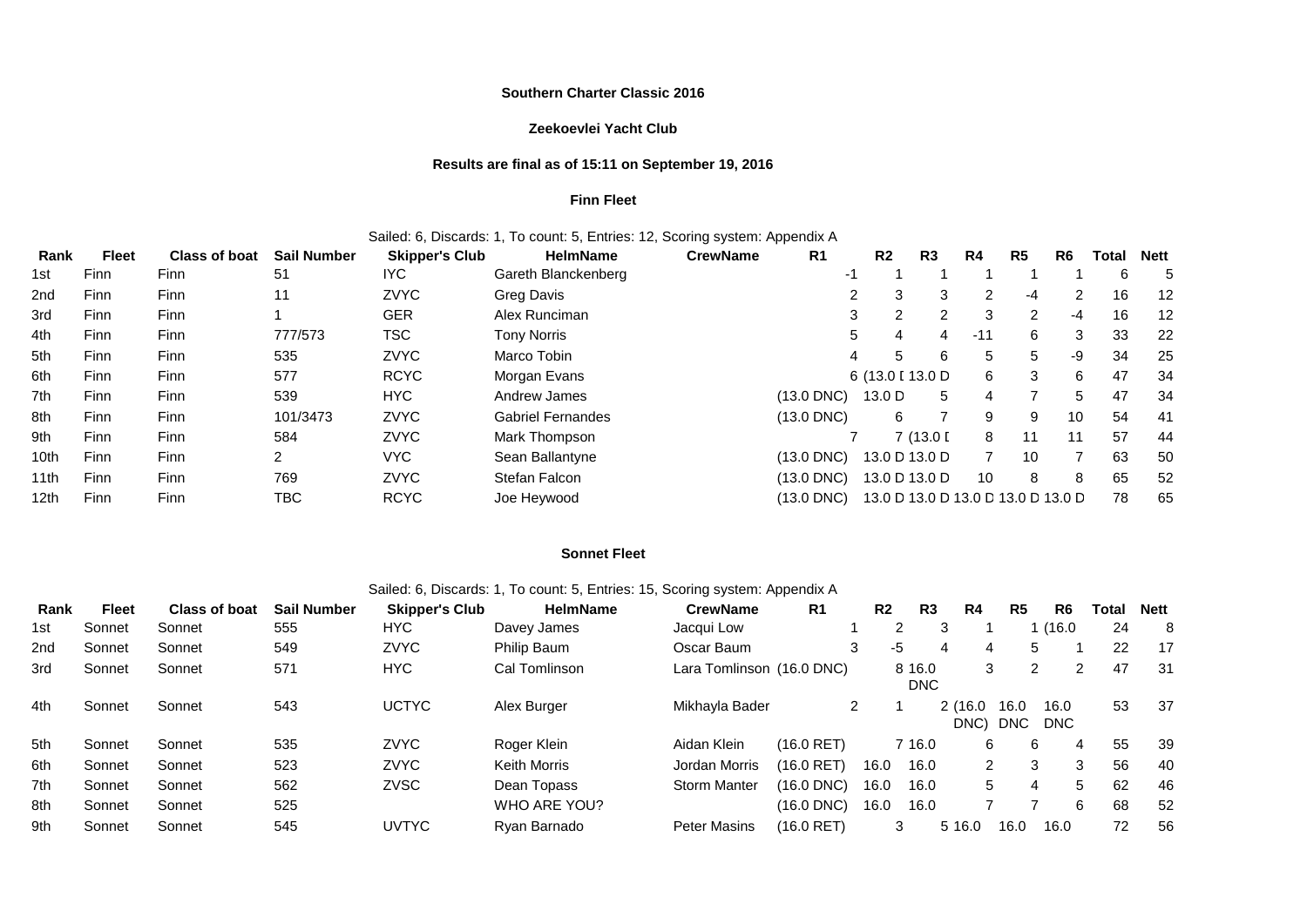### **Southern Charter Classic 2016**

## **Zeekoevlei Yacht Club**

### **Results are final as of 15:11 on September 19, 2016**

### **Finn Fleet**

## Sailed: 6, Discards: 1, To count: 5, Entries: 12, Scoring system: Appendix A

| Rank | <b>Fleet</b> | <b>Class of boat</b> | <b>Sail Number</b> | <b>Skipper's Club</b> | <b>HelmName</b>          | <b>CrewName</b> | R <sub>1</sub>  | R <sub>2</sub>                     | R <sub>3</sub> | R4    | R <sub>5</sub> | R <sub>6</sub> | Total | <b>Nett</b> |
|------|--------------|----------------------|--------------------|-----------------------|--------------------------|-----------------|-----------------|------------------------------------|----------------|-------|----------------|----------------|-------|-------------|
| 1st  | <b>Finn</b>  | <b>Finn</b>          | 51                 | IYC                   | Gareth Blanckenberg      |                 | -1              |                                    |                |       |                |                | 6     | 5           |
| 2nd  | <b>Finn</b>  | Finn                 | 11                 | <b>ZVYC</b>           | <b>Greg Davis</b>        |                 |                 | 3<br>2                             | 3              | 2     | -4             | 2              | 16    | 12          |
| 3rd  | Finn         | Finn                 |                    | GER                   | Alex Runciman            |                 |                 | 3<br>2                             | 2              | 3     | 2              | $-4$           | 16    | 12          |
| 4th  | Finn         | Finn                 | 777/573            | TSC                   | Tony Norris              |                 |                 | 5<br>4                             | 4              | $-11$ | 6              | 3              | 33    | 22          |
| 5th  | <b>Finn</b>  | <b>Finn</b>          | 535                | <b>ZVYC</b>           | Marco Tobin              |                 |                 | 5<br>4                             | 6              | 5     | 5              | -9             | 34    | 25          |
| 6th  | Finn         | Finn                 | 577                | <b>RCYC</b>           | Morgan Evans             |                 |                 | 6 (13.0 [ 13.0 D                   |                | 6     | 3              | 6              | 47    | 34          |
| 7th  | Finn         | Finn                 | 539                | HYC.                  | Andrew James             |                 | $(13.0$ DNC $)$ | 13.0 D                             | 5              | 4     | 7              | 5              | 47    | 34          |
| 8th  | Finn         | Finn                 | 101/3473           | <b>ZVYC</b>           | <b>Gabriel Fernandes</b> |                 | $(13.0$ DNC)    | 6                                  |                | 9     | 9              | 10             | 54    | -41         |
| 9th  | Finn         | Finn                 | 584                | <b>ZVYC</b>           | Mark Thompson            |                 |                 |                                    | 7(13.0)        | 8     | 11             | 11             | 57    | 44          |
| 10th | Finn         | Finn                 | $\overline{2}$     | VYC.                  | Sean Ballantyne          |                 | $(13.0$ DNC)    | 13.0 D 13.0 D                      |                | 7     | 10             | ⇁              | 63    | 50          |
| 11th | Finn         | Finn                 | 769                | <b>ZVYC</b>           | Stefan Falcon            |                 | (13.0 DNC)      | 13.0 D 13.0 D                      |                | 10    | 8              | 8              | 65    | 52          |
| 12th | Finn         | Finn                 | TBC                | <b>RCYC</b>           | Joe Heywood              |                 | (13.0 DNC)      | 13.0 D 13.0 D 13.0 D 13.0 D 13.0 D |                |       |                |                | 78    | 65          |

### **Sonnet Fleet**

## Sailed: 6, Discards: 1, To count: 5, Entries: 15, Scoring system: Appendix A

| Rank            | <b>Fleet</b> | <b>Class of boat</b> | <b>Sail Number</b> | <b>Skipper's Club</b> | <b>HelmName</b> | <b>CrewName</b>           | R <sub>1</sub> | R <sub>2</sub> | R3                   | R4              | R <sub>5</sub>     | R <sub>6</sub>     | Total | <b>Nett</b> |
|-----------------|--------------|----------------------|--------------------|-----------------------|-----------------|---------------------------|----------------|----------------|----------------------|-----------------|--------------------|--------------------|-------|-------------|
| 1st             | Sonnet       | Sonnet               | 555                | HYC.                  | Davey James     | Jacqui Low                |                |                | 2                    | 3               |                    | (16.0)             | 24    | 8           |
| 2 <sub>nd</sub> | Sonnet       | Sonnet               | 549                | <b>ZVYC</b>           | Philip Baum     | Oscar Baum                |                | 3              | -5                   | 4<br>4          | 5                  |                    | 22    | 17          |
| 3rd             | Sonnet       | Sonnet               | 571                | HYC.                  | Cal Tomlinson   | Lara Tomlinson (16.0 DNC) |                |                | 8 16.0<br><b>DNC</b> | 3               | 2                  | 2                  | 47    | 31          |
| 4th             | Sonnet       | Sonnet               | 543                | <b>UCTYC</b>          | Alex Burger     | Mikhayla Bader            |                | 2              |                      | 2(16.0)<br>DNC) | 16.0<br><b>DNC</b> | 16.0<br><b>DNC</b> | 53    | 37          |
| 5th             | Sonnet       | Sonnet               | 535                | <b>ZVYC</b>           | Roger Klein     | Aidan Klein               | $(16.0$ RET)   |                | 7 16.0               | 6               | 6                  | 4                  | 55    | 39          |
| 6th             | Sonnet       | Sonnet               | 523                | <b>ZVYC</b>           | Keith Morris    | Jordan Morris             | (16.0 RET)     | 16.0           | 16.0                 | 2               | 3                  | 3                  | 56    | 40          |
| 7th             | Sonnet       | Sonnet               | 562                | <b>ZVSC</b>           | Dean Topass     | <b>Storm Manter</b>       | (16.0 DNC)     | 16.0           | 16.0                 | 5               | 4                  | 5                  | 62    | 46          |
| 8th             | Sonnet       | Sonnet               | 525                |                       | WHO ARE YOU?    |                           | (16.0 DNC)     | 16.0           | 16.0                 |                 |                    | 6                  | 68    | 52          |
| 9th             | Sonnet       | Sonnet               | 545                | <b>UVTYC</b>          | Ryan Barnado    | <b>Peter Masins</b>       | (16.0 RET)     |                | 3                    | 5 16.0          | 16.0               | 16.0               | 72    | 56          |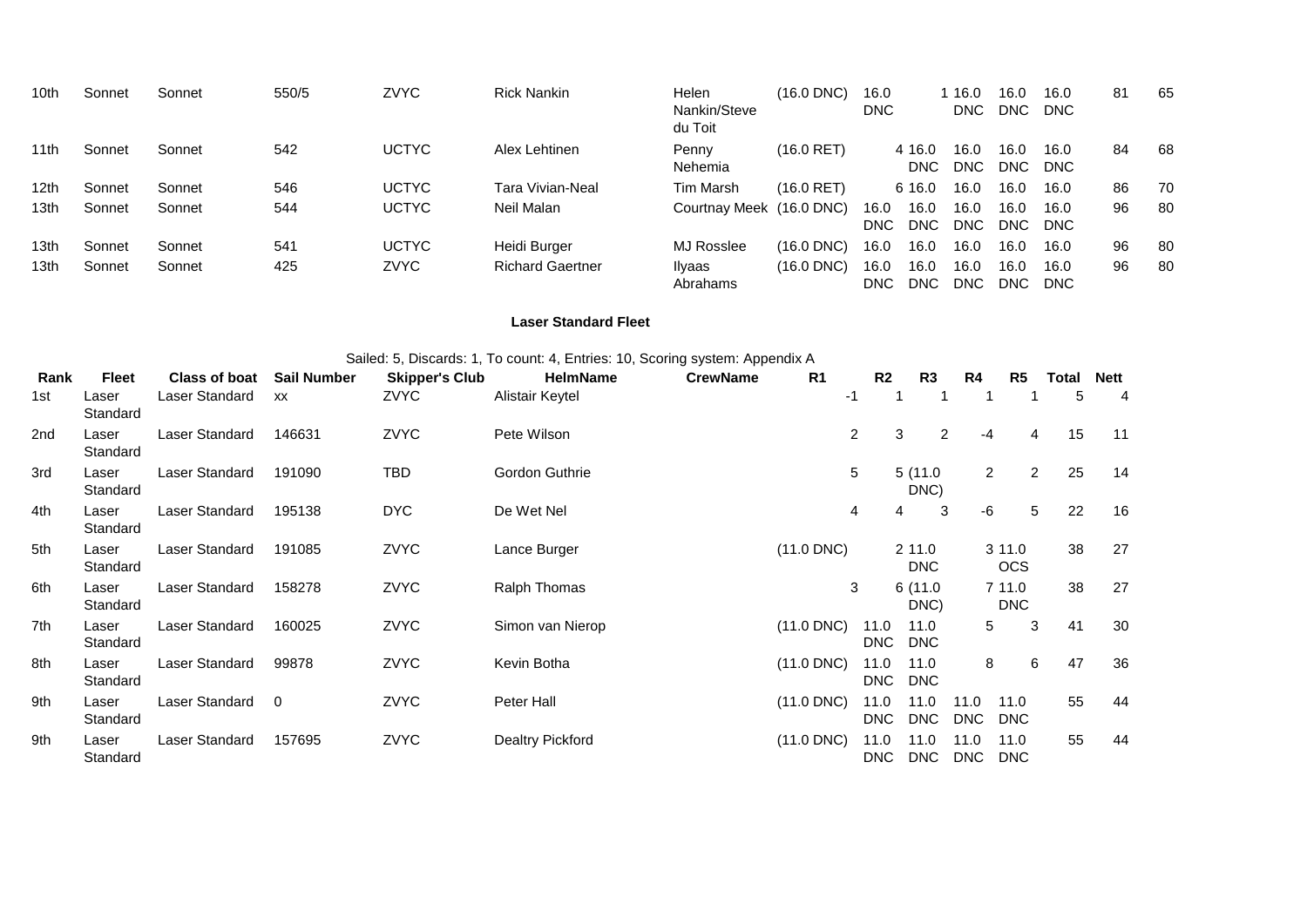| 10th             | Sonnet | Sonnet | 550/5 | <b>ZVYC</b>  | <b>Rick Nankin</b>      | Helen<br>Nankin/Steve<br>du Toit | $(16.0$ DNC $)$ | 16.0<br><b>DNC</b>                 | 16.0<br>DNC.       | 16.0<br>DNC.  | 16.0<br><b>DNC</b> | 81 | 65 |
|------------------|--------|--------|-------|--------------|-------------------------|----------------------------------|-----------------|------------------------------------|--------------------|---------------|--------------------|----|----|
| 11th             | Sonnet | Sonnet | 542   | <b>UCTYC</b> | Alex Lehtinen           | Penny<br>Nehemia                 | $(16.0$ RET)    | 4 16.0<br><b>DNC</b>               | 16.0<br>DNC.       | 16.0<br>DNC.  | 16.0<br><b>DNC</b> | 84 | 68 |
| 12th             | Sonnet | Sonnet | 546   | <b>UCTYC</b> | Tara Vivian-Neal        | Tim Marsh                        | $(16.0$ RET)    | 6 16.0                             | 16.0               | 16.0          | 16.0               | 86 | 70 |
| 13 <sub>th</sub> | Sonnet | Sonnet | 544   | <b>UCTYC</b> | Neil Malan              | Courtnay Meek (16.0 DNC)         |                 | 16.0<br>16.0<br>DNC.<br><b>DNC</b> | 16.0<br><b>DNC</b> | 16.0<br>DNC . | 16.0<br><b>DNC</b> | 96 | 80 |
| 13th             | Sonnet | Sonnet | 541   | <b>UCTYC</b> | Heidi Burger            | MJ Rosslee                       | $(16.0$ DNC $)$ | 16.0<br>16.0                       | 16.0               | 16.0          | 16.0               | 96 | 80 |
| 13th             | Sonnet | Sonnet | 425   | <b>ZVYC</b>  | <b>Richard Gaertner</b> | Ilyaas<br>Abrahams               | $(16.0$ DNC $)$ | 16.0<br>16.0<br>DNC.<br><b>DNC</b> | 16.0<br>DNC.       | 16.0<br>DNC.  | 16.0<br><b>DNC</b> | 96 | 80 |

## **Laser Standard Fleet**

| Sailed: 5, Discards: 1, To count: 4, Entries: 10, Scoring system: Appendix A |  |
|------------------------------------------------------------------------------|--|
|------------------------------------------------------------------------------|--|

| Rank | <b>Fleet</b>      | <b>Class of boat</b> | <b>Sail Number</b> | <b>Skipper's Club</b> | <b>HelmName</b>  | <b>CrewName</b> | R <sub>1</sub> | R <sub>2</sub>     | R3                   | R4                 | R <sub>5</sub>       | <b>Total</b> | <b>Nett</b>    |
|------|-------------------|----------------------|--------------------|-----------------------|------------------|-----------------|----------------|--------------------|----------------------|--------------------|----------------------|--------------|----------------|
| 1st  | Laser<br>Standard | Laser Standard       | XX                 | ZVYC                  | Alistair Keytel  |                 |                | -1                 |                      |                    |                      | 5            | $\overline{4}$ |
| 2nd  | Laser<br>Standard | Laser Standard       | 146631             | ZVYC                  | Pete Wilson      |                 |                | 2                  | 3<br>$\overline{2}$  | $-4$               | 4                    | 15           | 11             |
| 3rd  | Laser<br>Standard | Laser Standard       | 191090             | TBD                   | Gordon Guthrie   |                 |                | 5                  | 5(11.0<br>DNC)       | $\overline{2}$     | $\overline{2}$       | 25           | 14             |
| 4th  | Laser<br>Standard | Laser Standard       | 195138             | <b>DYC</b>            | De Wet Nel       |                 |                | 4                  | 3<br>4               | -6                 | 5                    | 22           | 16             |
| 5th  | Laser<br>Standard | Laser Standard       | 191085             | ZVYC                  | Lance Burger     |                 | $(11.0$ DNC)   |                    | 2 11.0<br><b>DNC</b> |                    | 3 11.0<br><b>OCS</b> | 38           | 27             |
| 6th  | Laser<br>Standard | Laser Standard       | 158278             | ZVYC                  | Ralph Thomas     |                 |                | 3                  | 6(11.0<br>DNC)       |                    | 7 11.0<br><b>DNC</b> | 38           | 27             |
| 7th  | Laser<br>Standard | Laser Standard       | 160025             | ZVYC                  | Simon van Nierop |                 | $(11.0$ DNC)   | 11.0<br>DNC        | 11.0<br><b>DNC</b>   | 5                  | 3                    | 41           | 30             |
| 8th  | Laser<br>Standard | Laser Standard       | 99878              | ZVYC                  | Kevin Botha      |                 | $(11.0$ DNC)   | 11.0<br>DNC        | 11.0<br><b>DNC</b>   | 8                  | 6                    | 47           | 36             |
| 9th  | Laser<br>Standard | Laser Standard       | $\overline{0}$     | ZVYC                  | Peter Hall       |                 | $(11.0$ DNC)   | 11.0<br><b>DNC</b> | 11.0<br><b>DNC</b>   | 11.0<br><b>DNC</b> | 11.0<br><b>DNC</b>   | 55           | 44             |
| 9th  | Laser<br>Standard | Laser Standard       | 157695             | ZVYC                  | Dealtry Pickford |                 | $(11.0$ DNC)   | 11.0<br>DNC.       | 11.0<br>DNC          | 11.0<br><b>DNC</b> | 11.0<br><b>DNC</b>   | 55           | 44             |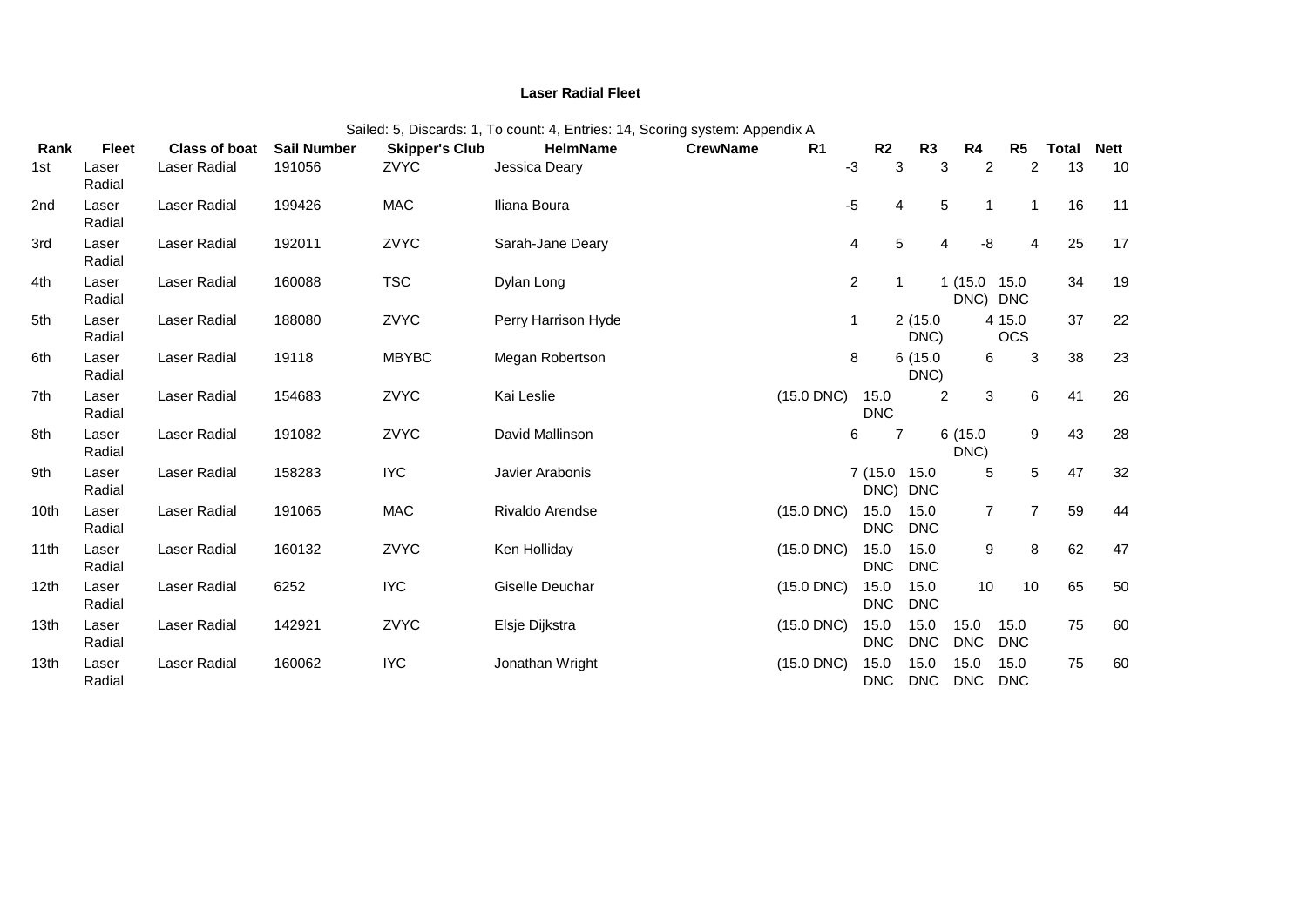### **Laser Radial Fleet**

|                  |                 |                      |                    |                       | Sailed: 5, Discards: 1, To count: 4, Entries: 14, Scoring system: Appendix A |                 |                |                          |                    |                          |                      |       |      |
|------------------|-----------------|----------------------|--------------------|-----------------------|------------------------------------------------------------------------------|-----------------|----------------|--------------------------|--------------------|--------------------------|----------------------|-------|------|
| Rank             | <b>Fleet</b>    | <b>Class of boat</b> | <b>Sail Number</b> | <b>Skipper's Club</b> | <b>HelmName</b>                                                              | <b>CrewName</b> | R <sub>1</sub> | R2                       | R <sub>3</sub>     | R4                       | R <sub>5</sub>       | Total | Nett |
| 1st              | Laser<br>Radial | Laser Radial         | 191056             | ZVYC                  | Jessica Deary                                                                |                 |                | $-3$<br>3                | 3                  | $\overline{2}$           | $\overline{2}$       | 13    | 10   |
| 2nd              | Laser<br>Radial | Laser Radial         | 199426             | <b>MAC</b>            | Iliana Boura                                                                 |                 |                | -5<br>4                  | 5                  |                          | 1                    | 16    | 11   |
| 3rd              | Laser<br>Radial | Laser Radial         | 192011             | ZVYC                  | Sarah-Jane Deary                                                             |                 |                | 5<br>4                   | 4                  | -8                       | 4                    | 25    | 17   |
| 4th              | Laser<br>Radial | Laser Radial         | 160088             | <b>TSC</b>            | Dylan Long                                                                   |                 |                | $\overline{a}$           |                    | 1 (15.0 15.0<br>DNC) DNC |                      | 34    | 19   |
| 5th              | Laser<br>Radial | Laser Radial         | 188080             | ZVYC                  | Perry Harrison Hyde                                                          |                 |                | 1                        | 2(15.0)<br>DNC)    |                          | 4 15.0<br><b>OCS</b> | 37    | 22   |
| 6th              | Laser<br>Radial | Laser Radial         | 19118              | <b>MBYBC</b>          | Megan Robertson                                                              |                 |                | 8                        | 6(15.0<br>DNC)     | 6                        | 3                    | 38    | 23   |
| 7th              | Laser<br>Radial | Laser Radial         | 154683             | ZVYC                  | Kai Leslie                                                                   |                 | $(15.0$ DNC)   | 15.0<br><b>DNC</b>       | $\overline{2}$     | 3                        | 6                    | 41    | 26   |
| 8th              | Laser<br>Radial | Laser Radial         | 191082             | ZVYC                  | David Mallinson                                                              |                 |                | $\overline{7}$<br>6      |                    | 6(15.0)<br>DNC)          | 9                    | 43    | 28   |
| 9th              | Laser<br>Radial | Laser Radial         | 158283             | <b>IYC</b>            | Javier Arabonis                                                              |                 |                | 7 (15.0 15.0<br>DNC) DNC |                    | 5                        | 5                    | 47    | 32   |
| 10th             | Laser<br>Radial | Laser Radial         | 191065             | <b>MAC</b>            | Rivaldo Arendse                                                              |                 | $(15.0$ DNC)   | 15.0<br><b>DNC</b>       | 15.0<br><b>DNC</b> | $\overline{7}$           | 7                    | 59    | 44   |
| 11th             | Laser<br>Radial | Laser Radial         | 160132             | ZVYC                  | Ken Holliday                                                                 |                 | $(15.0$ DNC)   | 15.0<br><b>DNC</b>       | 15.0<br><b>DNC</b> | 9                        | 8                    | 62    | 47   |
| 12th             | Laser<br>Radial | Laser Radial         | 6252               | <b>IYC</b>            | Giselle Deuchar                                                              |                 | $(15.0$ DNC)   | 15.0<br><b>DNC</b>       | 15.0<br><b>DNC</b> | 10                       | 10                   | 65    | 50   |
| 13th             | Laser<br>Radial | Laser Radial         | 142921             | ZVYC                  | Elsje Dijkstra                                                               |                 | $(15.0$ DNC)   | 15.0<br><b>DNC</b>       | 15.0<br><b>DNC</b> | 15.0<br><b>DNC</b>       | 15.0<br><b>DNC</b>   | 75    | 60   |
| 13 <sub>th</sub> | Laser<br>Radial | Laser Radial         | 160062             | <b>IYC</b>            | Jonathan Wright                                                              |                 | $(15.0$ DNC)   | 15.0<br><b>DNC</b>       | 15.0<br><b>DNC</b> | 15.0<br><b>DNC</b>       | 15.0<br><b>DNC</b>   | 75    | 60   |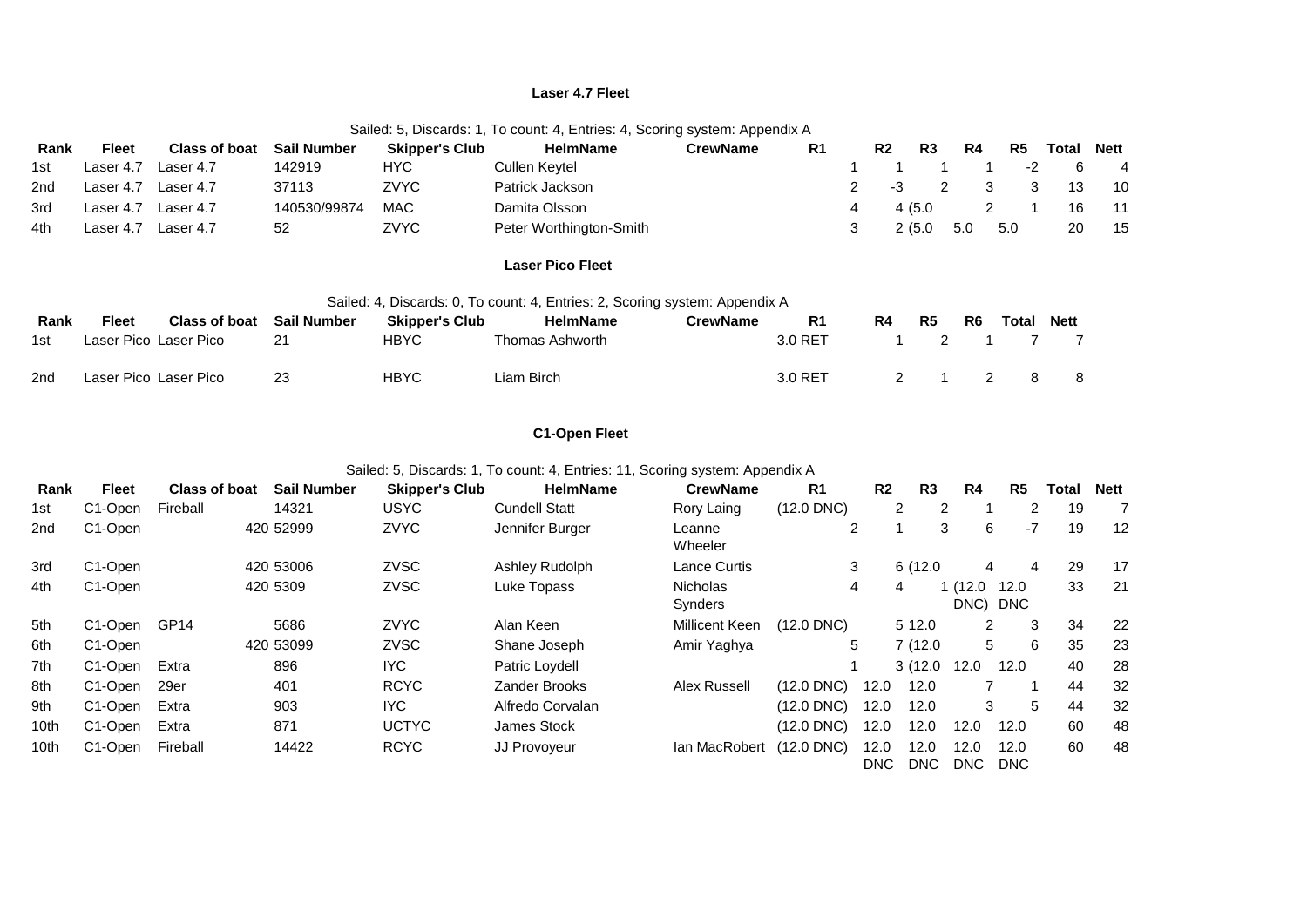### **Laser 4.7 Fleet**

|  |  | Sailed: 5, Discards: 1, To count: 4, Entries: 4, Scoring system: Appendix A |
|--|--|-----------------------------------------------------------------------------|
|--|--|-----------------------------------------------------------------------------|

| Rank | <b>Fleet</b> | <b>Class of boat</b> | <b>Sail Number</b> | <b>Skipper's Club</b> | <b>HelmName</b>         | CrewName | R <sub>1</sub> |   | R <sub>2</sub> | R3             | R4                      | R <sub>5</sub> | Total | Nett           |
|------|--------------|----------------------|--------------------|-----------------------|-------------------------|----------|----------------|---|----------------|----------------|-------------------------|----------------|-------|----------------|
| 1st  | Laser 4.7    | Laser 4.7            | 142919             | HYC.                  | Cullen Kevtel           |          |                |   |                |                |                         | $-2$           |       | $\overline{4}$ |
| 2nd  | Laser 4.7    | Laser 4.7            | 37113              | ZVYC                  | Patrick Jackson         |          |                | 2 | -3             | $\overline{2}$ | $\overline{\mathbf{3}}$ | 3              | -13   | - 10           |
| 3rd  | Laser 4.7    | Laser 4.7            | 140530/99874       | <b>MAC</b>            | Damita Olsson           |          |                |   | 4 (5.0         |                |                         |                | 16    | - 11           |
| 4th  | Laser 4.7    | Laser 4.7            | 52                 | ZVYC                  | Peter Worthington-Smith |          |                |   | 2(5.0)         |                | 5.0                     | 5.0            | 20    | 15             |

## **Laser Pico Fleet**

|      |       |                       |                    |                       |            | Sailed: 4, Discards: 0, To count: 4, Entries: 2, Scoring system: Appendix A |          |         |    |    |                |       |             |
|------|-------|-----------------------|--------------------|-----------------------|------------|-----------------------------------------------------------------------------|----------|---------|----|----|----------------|-------|-------------|
| Rank | Fleet | <b>Class of boat</b>  | <b>Sail Number</b> | <b>Skipper's Club</b> |            | <b>HelmName</b>                                                             | CrewName | R1      | R4 | R5 | R <sub>6</sub> | Total | <b>Nett</b> |
| 1st  |       | Laser Pico Laser Pico | 21                 | HBYC                  |            | Thomas Ashworth                                                             |          | 3.0 RET |    |    |                |       |             |
| 2nd  |       | Laser Pico Laser Pico | 23                 | <b>HBYC</b>           | Liam Birch |                                                                             |          | 3.0 RET |    |    |                |       |             |

# **C1-Open Fleet**

Sailed: 5, Discards: 1, To count: 4, Entries: 11, Scoring system: Appendix A

| Rank | <b>Fleet</b>         | <b>Class of boat</b> | <b>Sail Number</b> | <b>Skipper's Club</b> | <b>HelmName</b>      | <b>CrewName</b>            | R <sub>1</sub>  | R <sub>2</sub> | R <sub>3</sub>      | R4                  | R <sub>5</sub>     | Total | <b>Nett</b> |
|------|----------------------|----------------------|--------------------|-----------------------|----------------------|----------------------------|-----------------|----------------|---------------------|---------------------|--------------------|-------|-------------|
| 1st  | C1-Open              | Fireball             | 14321              | <b>USYC</b>           | <b>Cundell Statt</b> | Rory Laing                 | $(12.0$ DNC)    |                | $\overline{2}$<br>2 |                     | $\overline{2}$     | 19    | 7           |
| 2nd  | C1-Open              |                      | 420 52999          | <b>ZVYC</b>           | Jennifer Burger      | Leanne<br>Wheeler          |                 | $\overline{2}$ | 3                   | 6                   | $-7$               | 19    | 12          |
| 3rd  | C1-Open              |                      | 420 53006          | <b>ZVSC</b>           | Ashley Rudolph       | <b>Lance Curtis</b>        | 3               |                | 6(12.0)             | 4                   | 4                  | 29    | 17          |
| 4th  | C1-Open              |                      | 420 5309           | ZVSC                  | Luke Topass          | <b>Nicholas</b><br>Synders | 4               |                | 4                   | 1 (12.0<br>DNC) DNC | 12.0               | 33    | 21          |
| 5th  | C1-Open              | GP <sub>14</sub>     | 5686               | <b>ZVYC</b>           | Alan Keen            | <b>Millicent Keen</b>      | $(12.0$ DNC)    |                | 5 12.0              | $\overline{2}$      | 3                  | 34    | 22          |
| 6th  | C <sub>1</sub> -Open |                      | 420 53099          | <b>ZVSC</b>           | Shane Joseph         | Amir Yaghya                |                 | 5              | 7(12.0)             | 5                   | 6                  | 35    | 23          |
| 7th  | C1-Open              | Extra                | 896                | IYC.                  | Patric Loydell       |                            |                 |                | 3(12.0)             | 12.0                | 12.0               | 40    | 28          |
| 8th  | C <sub>1</sub> -Open | 29er                 | 401                | <b>RCYC</b>           | <b>Zander Brooks</b> | <b>Alex Russell</b>        | $(12.0$ DNC $)$ | 12.0           | 12.0                |                     |                    | 44    | 32          |
| 9th  | C1-Open              | Extra                | 903                | <b>IYC</b>            | Alfredo Corvalan     |                            | (12.0 DNC)      | 12.0           | 12.0                | 3                   | 5                  | 44    | 32          |
| 10th | C1-Open              | Extra                | 871                | <b>UCTYC</b>          | <b>James Stock</b>   |                            | (12.0 DNC)      | 12.0           | 12.0                | 12.0                | 12.0               | 60    | 48          |
| 10th | C1-Open              | Fireball             | 14422              | <b>RCYC</b>           | JJ Provoyeur         | lan MacRobert              | (12.0 DNC)      | 12.0<br>DNC.   | 12.0<br>DNC         | 12.0<br>DNC         | 12.0<br><b>DNC</b> | 60    | 48          |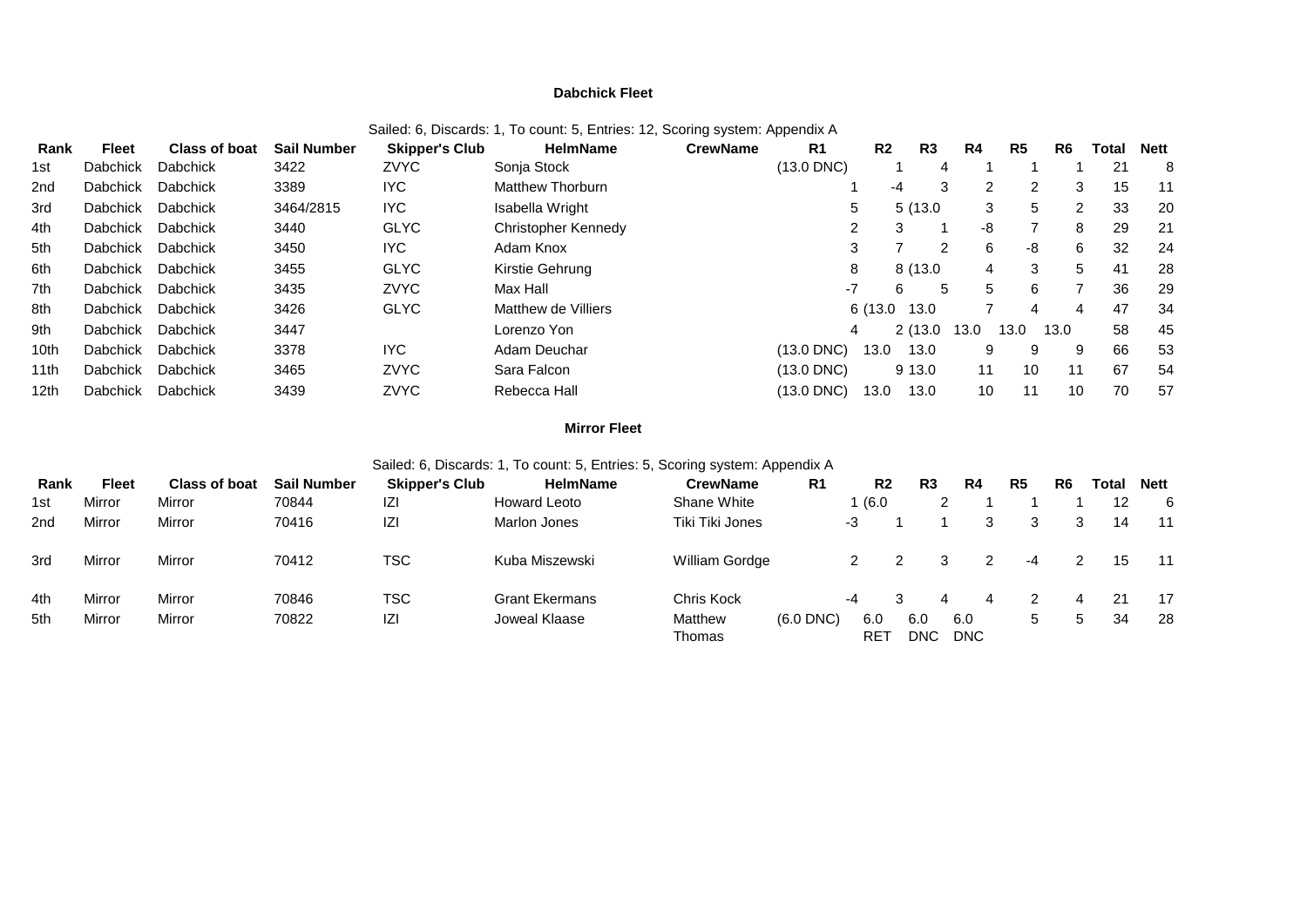### **Dabchick Fleet**

| Rank | Fleet           | Class of boat   | <b>Sail Number</b> | <b>Skipper's Club</b> | HelmName                | <b>CrewName</b> | R <sub>1</sub>  | R <sub>2</sub> | R <sub>3</sub> | R4   | R <sub>5</sub> | R <sub>6</sub> | Total | Nett |
|------|-----------------|-----------------|--------------------|-----------------------|-------------------------|-----------------|-----------------|----------------|----------------|------|----------------|----------------|-------|------|
| 1st  | <b>Dabchick</b> | <b>Dabchick</b> | 3422               | <b>ZVYC</b>           | Sonja Stock             |                 | $(13.0$ DNC)    |                | 4              |      |                |                | 21    | 8    |
| 2nd  | <b>Dabchick</b> | <b>Dabchick</b> | 3389               | IYC.                  | <b>Matthew Thorburn</b> |                 |                 | -4             | 3              | 2    | 2              | 3              | 15    | 11   |
| 3rd  | <b>Dabchick</b> | Dabchick        | 3464/2815          | IYC                   | Isabella Wright         |                 | 5               |                | 5(13.0)        | 3    | 5              | 2              | 33    | 20   |
| 4th  | <b>Dabchick</b> | Dabchick        | 3440               | <b>GLYC</b>           | Christopher Kennedy     |                 | $\mathbf{2}$    | 3              |                | -8   |                | 8              | 29    | 21   |
| 5th  | Dabchick        | Dabchick        | 3450               | IYC.                  | Adam Knox               |                 | 3               |                | 2              | 6    | -8             | 6              | 32    | 24   |
| 6th  | <b>Dabchick</b> | <b>Dabchick</b> | 3455               | <b>GLYC</b>           | Kirstie Gehrung         |                 | 8               |                | 8 (13.0)       | 4    | 3              | 5              | 41    | 28   |
| 7th  | <b>Dabchick</b> | Dabchick        | 3435               | <b>ZVYC</b>           | Max Hall                |                 | $-7$            | 6              | 5              | 5    | 6              |                | 36    | 29   |
| 8th  | <b>Dabchick</b> | Dabchick        | 3426               | <b>GLYC</b>           | Matthew de Villiers     |                 |                 | 6 (13.0        | 13.0           |      | 4              | 4              | 47    | 34   |
| 9th  | <b>Dabchick</b> | <b>Dabchick</b> | 3447               |                       | Lorenzo Yon             |                 | 4               |                | 2(13.0)        | 13.0 | 13.0           | 13.0           | 58    | 45   |
| 10th | <b>Dabchick</b> | <b>Dabchick</b> | 3378               | IYC.                  | Adam Deuchar            |                 | $(13.0$ DNC $)$ | 13.0           | 13.0           | 9    | 9              | 9              | 66    | 53   |
| 11th | <b>Dabchick</b> | <b>Dabchick</b> | 3465               | <b>ZVYC</b>           | Sara Falcon             |                 | $(13.0$ DNC)    |                | 9 13.0         | 11   | 10             | 11             | 67    | 54   |
| 12th | <b>Dabchick</b> | Dabchick        | 3439               | <b>ZVYC</b>           | Rebecca Hall            |                 | (13.0 DNC)      | 13.0           | 13.0           | 10   | 11             | 10             | 70    | 57   |

### Sailed: 6, Discards: 1, To count: 5, Entries: 12, Scoring system: Appendix A

# **Mirror Fleet**

## Sailed: 6, Discards: 1, To count: 5, Entries: 5, Scoring system: Appendix A

| Rank | <b>Fleet</b> | <b>Class of boat</b> | <b>Sail Number</b> | <b>Skipper's Club</b> | <b>HelmName</b>       | <b>CrewName</b>   | R <sub>1</sub> | R <sub>2</sub>         | R3          | R4                |   | R <sub>5</sub> | R <sub>6</sub> | Total | <b>Nett</b> |
|------|--------------|----------------------|--------------------|-----------------------|-----------------------|-------------------|----------------|------------------------|-------------|-------------------|---|----------------|----------------|-------|-------------|
| 1st  | Mirror       | Mirror               | 70844              | IZI                   | <b>Howard Leoto</b>   | Shane White       |                | (6.0)                  |             |                   |   |                |                | 12    | -6          |
| 2nd  | Mirror       | Mirror               | 70416              | IZI                   | Marlon Jones          | Tiki Tiki Jones   |                | -3                     |             |                   | 3 | 3              | 3              | 14    | - 11        |
| 3rd  | Mirror       | Mirror               | 70412              | <b>TSC</b>            | Kuba Miszewski        | William Gordge    |                |                        |             |                   | 2 | $-4$           |                | 15    | $-11$       |
| 4th  | Mirror       | Mirror               | 70846              | TSC                   | <b>Grant Ekermans</b> | Chris Kock        |                | -4                     |             |                   | 4 |                | 4              | 21    | 17          |
| 5th  | Mirror       | Mirror               | 70822              | IZI                   | Joweal Klaase         | Matthew<br>Thomas | $(6.0$ DNC $)$ | 6.0<br>RE <sup>-</sup> | 6.0<br>DNC. | 6.0<br><b>DNC</b> |   | 5              | 5              | 34    | 28          |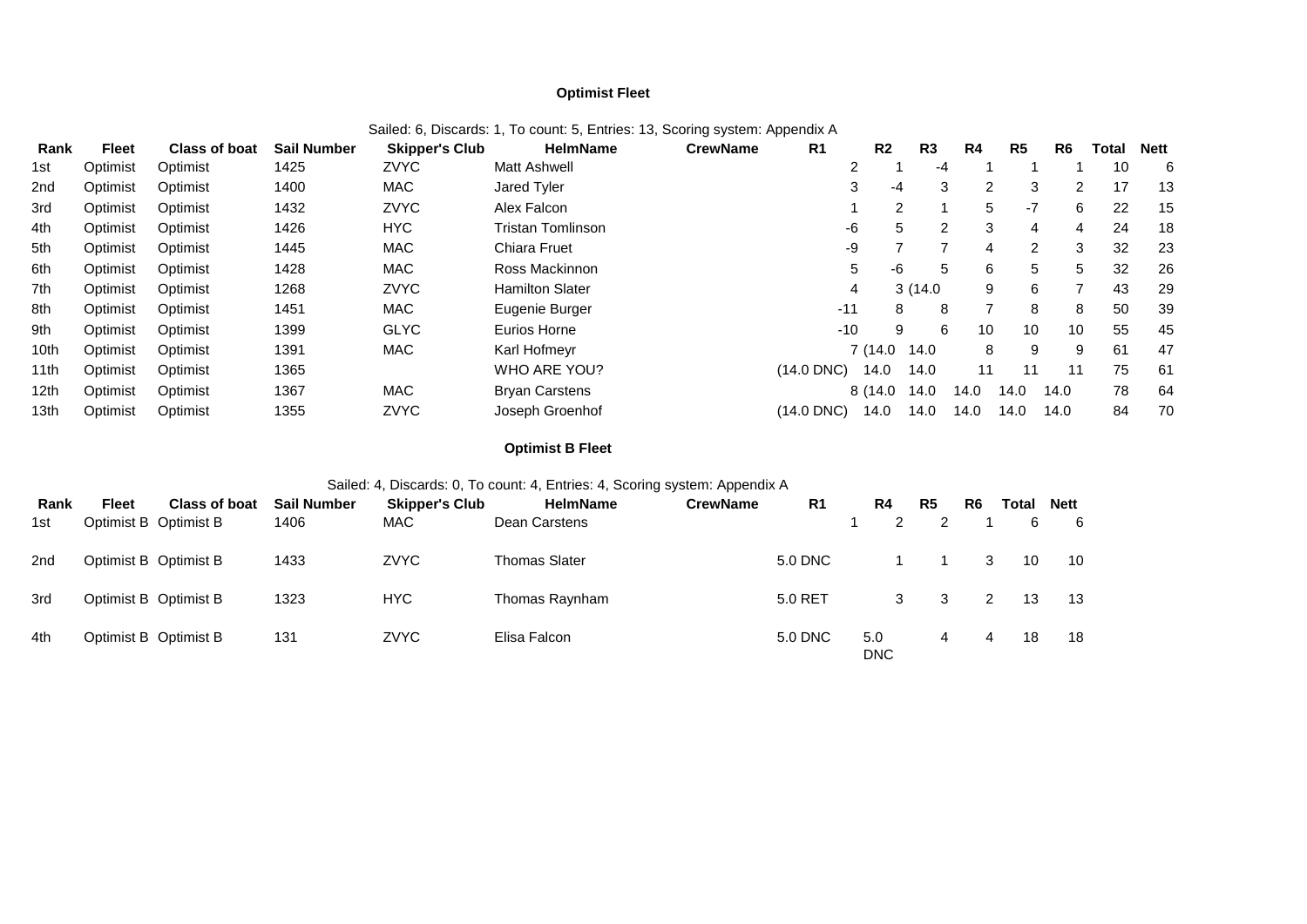## **Optimist Fleet**

| Rank | <b>Fleet</b> | <b>Class of boat</b> | <b>Sail Number</b> | <b>Skipper's Club</b> | <b>HelmName</b>          | <b>CrewName</b> | R <sub>1</sub> | R <sub>2</sub> | R3      |    | R4   | R <sub>5</sub> | R <sub>6</sub> | Total | <b>Nett</b> |
|------|--------------|----------------------|--------------------|-----------------------|--------------------------|-----------------|----------------|----------------|---------|----|------|----------------|----------------|-------|-------------|
| 1st  | Optimist     | Optimist             | 1425               | <b>ZVYC</b>           | <b>Matt Ashwell</b>      |                 |                | $\overline{2}$ |         | -4 |      |                |                | 10    | 6           |
| 2nd  | Optimist     | Optimist             | 1400               | <b>MAC</b>            | Jared Tyler              |                 |                | 3              | -4      | 3  | 2    | 3              | 2              | 17    | 13          |
| 3rd  | Optimist     | Optimist             | 1432               | <b>ZVYC</b>           | Alex Falcon              |                 |                |                | 2       |    | 5    | $-7$           | 6              | 22    | 15          |
| 4th  | Optimist     | Optimist             | 1426               | <b>HYC</b>            | <b>Tristan Tomlinson</b> |                 |                | -6             | 5       | 2  | 3    | 4              | 4              | 24    | 18          |
| 5th  | Optimist     | Optimist             | 1445               | <b>MAC</b>            | Chiara Fruet             |                 |                | -9             |         |    | 4    | $\overline{2}$ | 3              | 32    | 23          |
| 6th  | Optimist     | Optimist             | 1428               | <b>MAC</b>            | Ross Mackinnon           |                 |                | 5              | -6      | 5  | 6    | 5              | 5              | 32    | 26          |
| 7th  | Optimist     | Optimist             | 1268               | <b>ZVYC</b>           | <b>Hamilton Slater</b>   |                 |                | 4              | 3(14.0) |    | 9    | 6              | 7              | 43    | 29          |
| 8th  | Optimist     | Optimist             | 1451               | <b>MAC</b>            | Eugenie Burger           |                 | $-11$          |                | 8       | 8  | 7    | 8              | 8              | 50    | 39          |
| 9th  | Optimist     | Optimist             | 1399               | <b>GLYC</b>           | Eurios Horne             |                 | $-10$          |                | 9       | 6  | 10   | 10             | 10             | 55    | 45          |
| 10th | Optimist     | Optimist             | 1391               | <b>MAC</b>            | Karl Hofmeyr             |                 |                | 7 (14.0        | 14.0    |    | 8    | 9              | 9              | 61    | 47          |
| 11th | Optimist     | Optimist             | 1365               |                       | WHO ARE YOU?             |                 | $(14.0$ DNC)   | 14.0           | 14.0    |    | 11   | 11             | 11             | 75    | 61          |
| 12th | Optimist     | Optimist             | 1367               | <b>MAC</b>            | <b>Bryan Carstens</b>    |                 |                | 8 (14.0        | 14.0    |    | 14.0 | 14.0           | 14.0           | 78    | 64          |
| 13th | Optimist     | Optimist             | 1355               | <b>ZVYC</b>           | Joseph Groenhof          |                 | (14.0 DNC)     | 14.0           | 14.0    |    | 14.0 | 14.0           | 14.0           | 84    | 70          |

### Sailed: 6, Discards: 1, To count: 5, Entries: 13, Scoring system: Appendix A

## **Optimist B Fleet**

# Sailed: 4, Discards: 0, To count: 4, Entries: 4, Scoring system: Appendix A

| Rank            | Fleet                 | <b>Class of boat</b> | <b>Sail Number</b> | <b>Skipper's Club</b> | <b>HelmName</b>      | <b>CrewName</b> | R <sub>1</sub> | R4                | R5 | R <sub>6</sub> | Total | <b>Nett</b> |
|-----------------|-----------------------|----------------------|--------------------|-----------------------|----------------------|-----------------|----------------|-------------------|----|----------------|-------|-------------|
| 1st             | Optimist B Optimist B |                      | 1406               | <b>MAC</b>            | Dean Carstens        |                 |                | 2                 |    |                | 6     | - 6         |
| 2 <sub>nd</sub> | Optimist B Optimist B |                      | 1433               | <b>ZVYC</b>           | <b>Thomas Slater</b> |                 | 5.0 DNC        |                   |    |                | 10    | 10          |
| 3rd             | Optimist B Optimist B |                      | 1323               | <b>HYC</b>            | Thomas Raynham       |                 | 5.0 RET        | 3                 |    |                | 13    | 13          |
| 4th             | Optimist B Optimist B |                      | 131                | <b>ZVYC</b>           | Elisa Falcon         |                 | 5.0 DNC        | 5.0<br><b>DNC</b> | 4  | 4              | 18    | 18          |